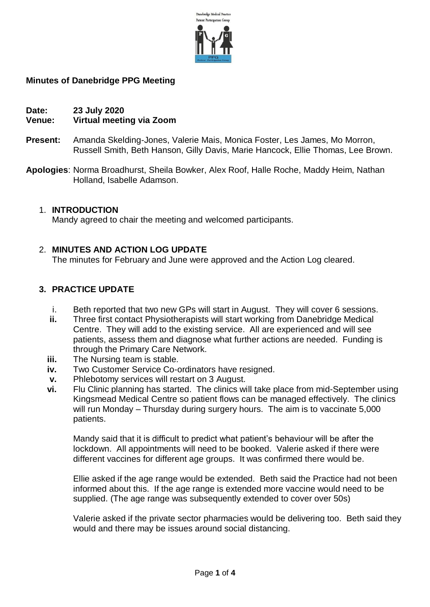

## **Minutes of Danebridge PPG Meeting**

#### **Date: 23 July 2020 Venue: Virtual meeting via Zoom**

- **Present:** Amanda Skelding-Jones, Valerie Mais, Monica Foster, Les James, Mo Morron, Russell Smith, Beth Hanson, Gilly Davis, Marie Hancock, Ellie Thomas, Lee Brown.
- **Apologies**: Norma Broadhurst, Sheila Bowker, Alex Roof, Halle Roche, Maddy Heim, Nathan Holland, Isabelle Adamson.

### 1. **INTRODUCTION**

Mandy agreed to chair the meeting and welcomed participants.

## 2. **MINUTES AND ACTION LOG UPDATE**

The minutes for February and June were approved and the Action Log cleared.

## **3. PRACTICE UPDATE**

- i. Beth reported that two new GPs will start in August. They will cover 6 sessions.
- **ii.** Three first contact Physiotherapists will start working from Danebridge Medical Centre. They will add to the existing service. All are experienced and will see patients, assess them and diagnose what further actions are needed. Funding is through the Primary Care Network.
- **iii.** The Nursing team is stable.
- **iv.** Two Customer Service Co-ordinators have resigned.
- **v.** Phlebotomy services will restart on 3 August.
- **vi.** Flu Clinic planning has started. The clinics will take place from mid-September using Kingsmead Medical Centre so patient flows can be managed effectively. The clinics will run Monday – Thursday during surgery hours. The aim is to vaccinate 5,000 patients.

Mandy said that it is difficult to predict what patient's behaviour will be after the lockdown. All appointments will need to be booked. Valerie asked if there were different vaccines for different age groups. It was confirmed there would be.

Ellie asked if the age range would be extended. Beth said the Practice had not been informed about this. If the age range is extended more vaccine would need to be supplied. (The age range was subsequently extended to cover over 50s)

Valerie asked if the private sector pharmacies would be delivering too. Beth said they would and there may be issues around social distancing.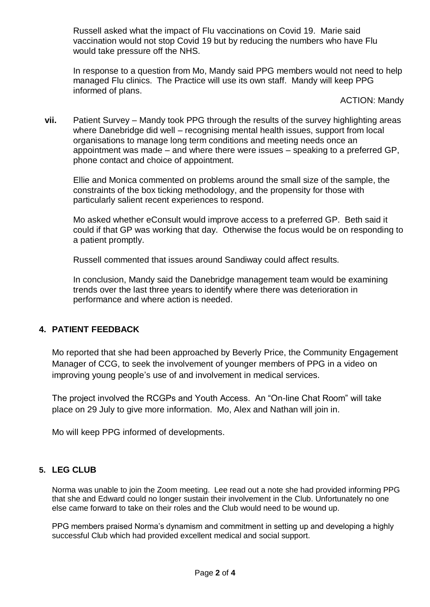Russell asked what the impact of Flu vaccinations on Covid 19. Marie said vaccination would not stop Covid 19 but by reducing the numbers who have Flu would take pressure off the NHS.

In response to a question from Mo, Mandy said PPG members would not need to help managed Flu clinics. The Practice will use its own staff. Mandy will keep PPG informed of plans.

ACTION: Mandy

**vii.** Patient Survey – Mandy took PPG through the results of the survey highlighting areas where Danebridge did well – recognising mental health issues, support from local organisations to manage long term conditions and meeting needs once an appointment was made – and where there were issues – speaking to a preferred GP, phone contact and choice of appointment.

Ellie and Monica commented on problems around the small size of the sample, the constraints of the box ticking methodology, and the propensity for those with particularly salient recent experiences to respond.

Mo asked whether eConsult would improve access to a preferred GP. Beth said it could if that GP was working that day. Otherwise the focus would be on responding to a patient promptly.

Russell commented that issues around Sandiway could affect results.

In conclusion, Mandy said the Danebridge management team would be examining trends over the last three years to identify where there was deterioration in performance and where action is needed.

# **4. PATIENT FEEDBACK**

Mo reported that she had been approached by Beverly Price, the Community Engagement Manager of CCG, to seek the involvement of younger members of PPG in a video on improving young people's use of and involvement in medical services.

The project involved the RCGPs and Youth Access. An "On-line Chat Room" will take place on 29 July to give more information. Mo, Alex and Nathan will join in.

Mo will keep PPG informed of developments.

### **5. LEG CLUB**

Norma was unable to join the Zoom meeting. Lee read out a note she had provided informing PPG that she and Edward could no longer sustain their involvement in the Club. Unfortunately no one else came forward to take on their roles and the Club would need to be wound up.

PPG members praised Norma's dynamism and commitment in setting up and developing a highly successful Club which had provided excellent medical and social support.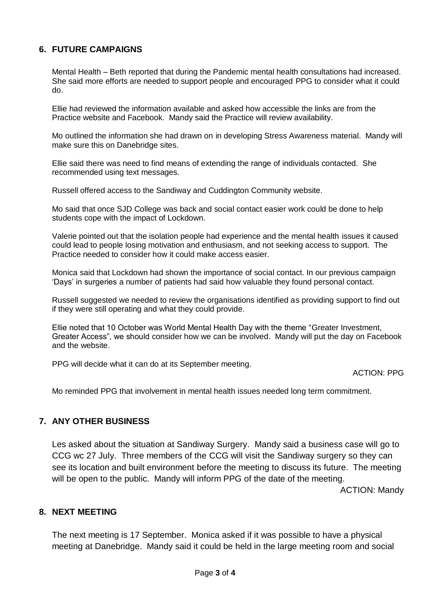## **6. FUTURE CAMPAIGNS**

Mental Health – Beth reported that during the Pandemic mental health consultations had increased. She said more efforts are needed to support people and encouraged PPG to consider what it could do.

Ellie had reviewed the information available and asked how accessible the links are from the Practice website and Facebook. Mandy said the Practice will review availability.

Mo outlined the information she had drawn on in developing Stress Awareness material. Mandy will make sure this on Danebridge sites.

Ellie said there was need to find means of extending the range of individuals contacted. She recommended using text messages.

Russell offered access to the Sandiway and Cuddington Community website.

Mo said that once SJD College was back and social contact easier work could be done to help students cope with the impact of Lockdown.

Valerie pointed out that the isolation people had experience and the mental health issues it caused could lead to people losing motivation and enthusiasm, and not seeking access to support. The Practice needed to consider how it could make access easier.

Monica said that Lockdown had shown the importance of social contact. In our previous campaign 'Days' in surgeries a number of patients had said how valuable they found personal contact.

Russell suggested we needed to review the organisations identified as providing support to find out if they were still operating and what they could provide.

Ellie noted that 10 October was World Mental Health Day with the theme "Greater Investment, Greater Access", we should consider how we can be involved. Mandy will put the day on Facebook and the website.

PPG will decide what it can do at its September meeting.

ACTION: PPG

Mo reminded PPG that involvement in mental health issues needed long term commitment.

### **7. ANY OTHER BUSINESS**

Les asked about the situation at Sandiway Surgery. Mandy said a business case will go to CCG wc 27 July. Three members of the CCG will visit the Sandiway surgery so they can see its location and built environment before the meeting to discuss its future. The meeting will be open to the public. Mandy will inform PPG of the date of the meeting.

ACTION: Mandy

### **8. NEXT MEETING**

The next meeting is 17 September. Monica asked if it was possible to have a physical meeting at Danebridge. Mandy said it could be held in the large meeting room and social